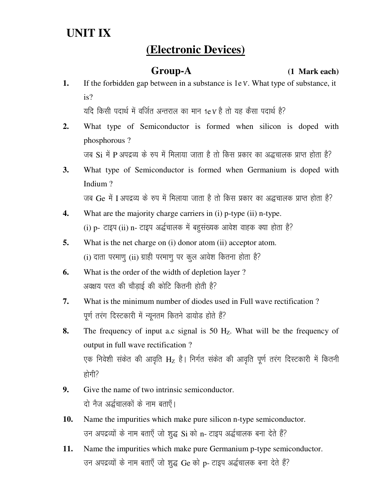# **UNIT IX**

## **(Electronic Devices)**

**Group-A (1 Mark each)** 

**1.** If the forbidden gap between in a substance is 1e V. What type of substance, it is?

यदि किसी पदार्थ में वर्जित अन्तराल का मान 1e V है तो यह कैसा पदार्थ है?

**2.** What type of Semiconductor is formed when silicon is doped with phosphorous ?

जब  $Si$  में P अपद्रव्य के रूप में मिलाया जाता है तो किस प्रकार का अद्धचालक प्राप्त होता है?

**3.** What type of Semiconductor is formed when Germanium is doped with Indium ?

जब Ge में I अपद्रव्य के रूप में मिलाया जाता है तो किस प्रकार का अद्धचालक प्राप्त होता है?

- **4.** What are the majority charge carriers in (i) p-type (ii) n-type. (i) p- टाइप (ii) n- टाइप अर्द्धचालक में बहुसंख्यक आवेश वाहक क्या होता है?
- **5.** What is the net charge on (i) donor atom (ii) acceptor atom.  $(i)$  दाता परमाणु (ii) ग्राही परमाणु पर कूल आवेश कितना होता है?
- **6.** What is the order of the width of depletion layer ? अवक्षय परत की चौडाई की कोटि कितनी होती है?
- **7.** What is the minimum number of diodes used in Full wave rectification ? पूर्ण तरंग दिस्टकारी में न्यूनतम कितने डायोड होते हैं?
- **8.** The frequency of input a.c signal is 50 H<sub>z</sub>. What will be the frequency of output in full wave rectification ? एक निवेशी संकेत की आवृति  $H_z$  है। निर्गत संकेत की आवृति पूर्ण तरंग दिस्टकारी में कितनी होगी?
- **9.** Give the name of two intrinsic semiconductor. दो नैज अर्द्धचालकों के नाम बताएँ।
- **10.** Name the impurities which make pure silicon n-type semiconductor. उन अपद्रव्यों के नाम बताएँ जो शुद्ध Si को n- टाइप अर्द्धचालक बना देते हैं?
- **11.** Name the impurities which make pure Germanium p-type semiconductor. उन अपद्रव्यों के नाम बताएँ जो शुद्ध Ge को p- टाइप अर्द्धचालक बना देते हैं?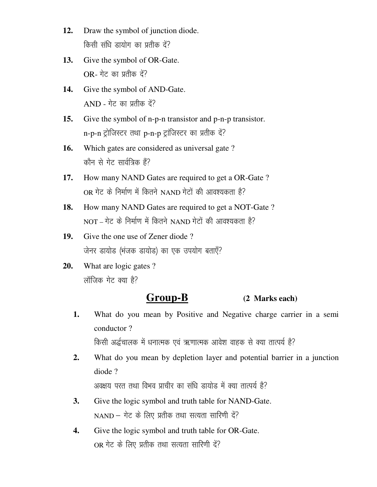- **12.** Draw the symbol of junction diode. किसी संधि डायोग का प्रतीक दें?
- **13.** Give the symbol of OR-Gate.  $OR-$ गेट का प्रतीक दें?
- **14.** Give the symbol of AND-Gate.  $AND - \overline{1}$  an yi dha  $\overline{d}$ ?
- **15.** Give the symbol of n-p-n transistor and p-n-p transistor.  $n-p-n$  ट्रोजिस्टर तथा  $p-n-p$  ट्रांजिस्टर का प्रतीक दें?
- 16. Which gates are considered as universal gate? कौन से गेट सार्वत्रिक हैं?
- **17.** How many NAND Gates are required to get a OR-Gate ?  $OR$ गेट के निर्माण में कितने NAND गेटों की आवश्यकता है?
- **18.** How many NAND Gates are required to get a NOT-Gate ?  $NOT - \vec{A}$  के निर्माण में कितने  $NAND$  गेटों की आवश्यकता है?
- **19.** Give the one use of Zener diode ? जेनर डायोड (भंजक डायोड) का एक उपयोग बताएँ?
- **20.** What are logic gates ? लॉजिक गेट क्या है?

### **Group-B (2 Marks each)**

**1.** What do you mean by Positive and Negative charge carrier in a semi conductor ?

किसी अर्द्धचालक में धनात्मक एवं ऋणात्मक आवेश वाहक से क्या तात्पर्य है?

**2.** What do you mean by depletion layer and potential barrier in a junction diode ?

अवक्षय परत तथा विभव प्राचीर का संधि डायोड में क्या तात्पर्य है?

- **3.** Give the logic symbol and truth table for NAND-Gate.  $NAND - \hat{\eta}$ ट के लिए प्रतीक तथा सत्यता सारिणी दें?
- **4.** Give the logic symbol and truth table for OR-Gate. OR गेट के लिए प्रतीक तथा सत्यता सारिणी दें?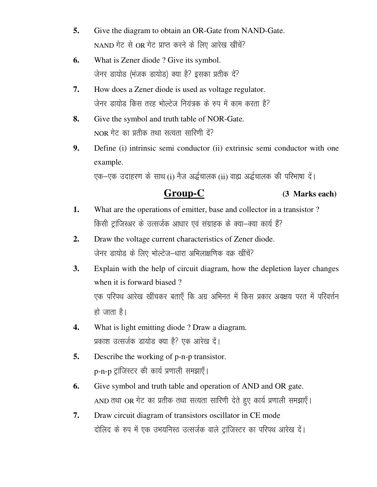- **5.** Give the diagram to obtain an OR-Gate from NAND-Gate.  $NAND$  गेट से OR गेट प्राप्त करने के लिए आरेख खींचें?
- **6.** What is Zener diode ? Give its symbol. जेनर डायोड (भंजक डायोड) क्या है? इसका प्रतीक दें?
- **7.** How does a Zener diode is used as voltage regulator. जेनर डायोड किस तरह भोल्टेज नियंत्रक के रुप में काम करता है?
- **8.** Give the symbol and truth table of NOR-Gate.  $NOR$  गेट का प्रतीक तथा सत्यता सारिणी दें?
- **9.** Define (i) intrinsic semi conductor (ii) extrinsic semi conductor with one example.

एक–एक उदाहरण के साथ (i) नैज अर्द्धचालक (ii) वाह्य अर्द्धचालक की परिभाषा दें।

 **Group-C (3 Marks each)**

- **1.** What are the operations of emitter, base and collector in a transistor ? किसी ट्रांजिस्अर के उत्सर्जक आधार एवं संग्राहक के क्या-क्या कार्य हैं?
- **2.** Draw the voltage current characteristics of Zener diode. जेनर डायोड के लिए भोल्टेज-धारा अभिलाक्षणिक वक्र खींचें?
- **3.** Explain with the help of circuit diagram, how the depletion layer changes when it is forward biased ? एक परिपथ आरेख खींचकर बताएँ कि अग्र अभिनत में किस प्रकार अवक्षय परत में परिवर्त्तन हो जाता है।
- **4.** What is light emitting diode ? Draw a diagram. प्रकाश उत्सर्जक डायोड क्या है? एक आरेख दें।
- **5.** Describe the working of p-n-p transistor. p-n-p ट्रांजिस्टर की कार्य प्रणाली समझाएँ।
- **6.** Give symbol and truth table and operation of AND and OR gate. AND तथा OR गेट का प्रतीक तथा सत्यता सारिणी देते हुए कार्य प्रणाली समझाएँ।
- **7.** Draw circuit diagram of transistors oscillator in CE mode दोलिद के रुप में एक उभयनिस्ठ उत्सर्जक वाले टांजिस्टर का परिपथ आरेख दें।